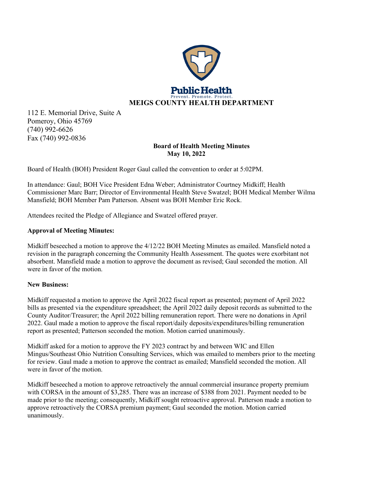

112 E. Memorial Drive, Suite A Pomeroy, Ohio 45769 (740) 992-6626 Fax (740) 992-0836

# **Board of Health Meeting Minutes May 10, 2022**

Board of Health (BOH) President Roger Gaul called the convention to order at 5:02PM.

In attendance: Gaul; BOH Vice President Edna Weber; Administrator Courtney Midkiff; Health Commissioner Marc Barr; Director of Environmental Health Steve Swatzel; BOH Medical Member Wilma Mansfield; BOH Member Pam Patterson. Absent was BOH Member Eric Rock.

Attendees recited the Pledge of Allegiance and Swatzel offered prayer.

# **Approval of Meeting Minutes:**

Midkiff beseeched a motion to approve the 4/12/22 BOH Meeting Minutes as emailed. Mansfield noted a revision in the paragraph concerning the Community Health Assessment. The quotes were exorbitant not absorbent. Mansfield made a motion to approve the document as revised; Gaul seconded the motion. All were in favor of the motion.

# **New Business:**

Midkiff requested a motion to approve the April 2022 fiscal report as presented; payment of April 2022 bills as presented via the expenditure spreadsheet; the April 2022 daily deposit records as submitted to the County Auditor/Treasurer; the April 2022 billing remuneration report. There were no donations in April 2022. Gaul made a motion to approve the fiscal report/daily deposits/expenditures/billing remuneration report as presented; Patterson seconded the motion. Motion carried unanimously.

Midkiff asked for a motion to approve the FY 2023 contract by and between WIC and Ellen Mingus/Southeast Ohio Nutrition Consulting Services, which was emailed to members prior to the meeting for review. Gaul made a motion to approve the contract as emailed; Mansfield seconded the motion. All were in favor of the motion.

Midkiff beseeched a motion to approve retroactively the annual commercial insurance property premium with CORSA in the amount of \$3,285. There was an increase of \$388 from 2021. Payment needed to be made prior to the meeting; consequently, Midkiff sought retroactive approval. Patterson made a motion to approve retroactively the CORSA premium payment; Gaul seconded the motion. Motion carried unanimously.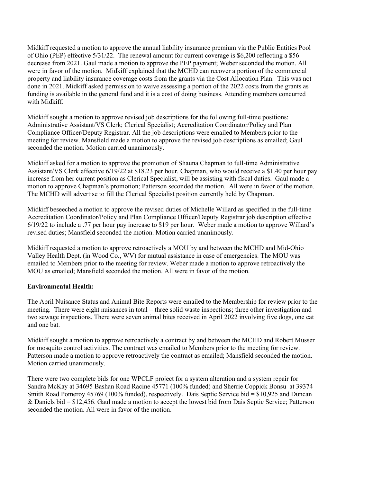Midkiff requested a motion to approve the annual liability insurance premium via the Public Entities Pool of Ohio (PEP) effective 5/31/22. The renewal amount for current coverage is \$6,200 reflecting a \$56 decrease from 2021. Gaul made a motion to approve the PEP payment; Weber seconded the motion. All were in favor of the motion. Midkiff explained that the MCHD can recover a portion of the commercial property and liability insurance coverage costs from the grants via the Cost Allocation Plan. This was not done in 2021. Midkiff asked permission to waive assessing a portion of the 2022 costs from the grants as funding is available in the general fund and it is a cost of doing business. Attending members concurred with Midkiff.

Midkiff sought a motion to approve revised job descriptions for the following full-time positions: Administrative Assistant/VS Clerk; Clerical Specialist; Accreditation Coordinator/Policy and Plan Compliance Officer/Deputy Registrar. All the job descriptions were emailed to Members prior to the meeting for review. Mansfield made a motion to approve the revised job descriptions as emailed; Gaul seconded the motion. Motion carried unanimously.

Midkiff asked for a motion to approve the promotion of Shauna Chapman to full-time Administrative Assistant/VS Clerk effective 6/19/22 at \$18.23 per hour. Chapman, who would receive a \$1.40 per hour pay increase from her current position as Clerical Specialist, will be assisting with fiscal duties. Gaul made a motion to approve Chapman's promotion; Patterson seconded the motion. All were in favor of the motion. The MCHD will advertise to fill the Clerical Specialist position currently held by Chapman.

Midkiff beseeched a motion to approve the revised duties of Michelle Willard as specified in the full-time Accreditation Coordinator/Policy and Plan Compliance Officer/Deputy Registrar job description effective 6/19/22 to include a .77 per hour pay increase to \$19 per hour. Weber made a motion to approve Willard's revised duties; Mansfield seconded the motion. Motion carried unanimously.

Midkiff requested a motion to approve retroactively a MOU by and between the MCHD and Mid-Ohio Valley Health Dept. (in Wood Co., WV) for mutual assistance in case of emergencies. The MOU was emailed to Members prior to the meeting for review. Weber made a motion to approve retroactively the MOU as emailed; Mansfield seconded the motion. All were in favor of the motion.

# **Environmental Health:**

The April Nuisance Status and Animal Bite Reports were emailed to the Membership for review prior to the meeting. There were eight nuisances in total = three solid waste inspections; three other investigation and two sewage inspections. There were seven animal bites received in April 2022 involving five dogs, one cat and one bat.

Midkiff sought a motion to approve retroactively a contract by and between the MCHD and Robert Musser for mosquito control activities. The contract was emailed to Members prior to the meeting for review. Patterson made a motion to approve retroactively the contract as emailed; Mansfield seconded the motion. Motion carried unanimously.

There were two complete bids for one WPCLF project for a system alteration and a system repair for Sandra McKay at 34695 Bashan Road Racine 45771 (100% funded) and Sherrie Coppick Bonsu at 39374 Smith Road Pomeroy 45769 (100% funded), respectively. Dais Septic Service bid = \$10,925 and Duncan & Daniels bid = \$12,456. Gaul made a motion to accept the lowest bid from Dais Septic Service; Patterson seconded the motion. All were in favor of the motion.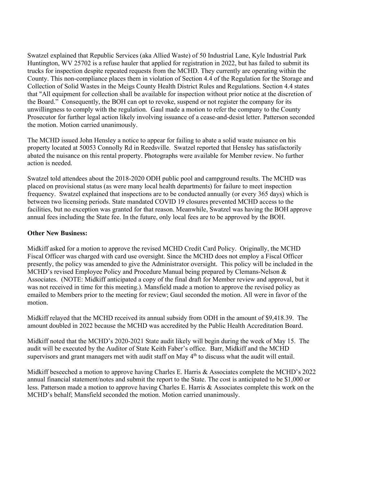Swatzel explained that Republic Services (aka Allied Waste) of 50 Industrial Lane, Kyle Industrial Park Huntington, WV 25702 is a refuse hauler that applied for registration in 2022, but has failed to submit its trucks for inspection despite repeated requests from the MCHD. They currently are operating within the County. This non-compliance places them in violation of Section 4.4 of the Regulation for the Storage and Collection of Solid Wastes in the Meigs County Health District Rules and Regulations. Section 4.4 states that "All equipment for collection shall be available for inspection without prior notice at the discretion of the Board." Consequently, the BOH can opt to revoke, suspend or not register the company for its unwillingness to comply with the regulation. Gaul made a motion to refer the company to the County Prosecutor for further legal action likely involving issuance of a cease-and-desist letter. Patterson seconded the motion. Motion carried unanimously.

The MCHD issued John Hensley a notice to appear for failing to abate a solid waste nuisance on his property located at 50053 Connolly Rd in Reedsville. Swatzel reported that Hensley has satisfactorily abated the nuisance on this rental property. Photographs were available for Member review. No further action is needed.

Swatzel told attendees about the 2018-2020 ODH public pool and campground results. The MCHD was placed on provisional status (as were many local health departments) for failure to meet inspection frequency. Swatzel explained that inspections are to be conducted annually (or every 365 days) which is between two licensing periods. State mandated COVID 19 closures prevented MCHD access to the facilities, but no exception was granted for that reason. Meanwhile, Swatzel was having the BOH approve annual fees including the State fee. In the future, only local fees are to be approved by the BOH.

## **Other New Business:**

Midkiff asked for a motion to approve the revised MCHD Credit Card Policy. Originally, the MCHD Fiscal Officer was charged with card use oversight. Since the MCHD does not employ a Fiscal Officer presently, the policy was amended to give the Administrator oversight. This policy will be included in the MCHD's revised Employee Policy and Procedure Manual being prepared by Clemans-Nelson  $\&$ Associates. (NOTE: Midkiff anticipated a copy of the final draft for Member review and approval, but it was not received in time for this meeting.). Mansfield made a motion to approve the revised policy as emailed to Members prior to the meeting for review; Gaul seconded the motion. All were in favor of the motion.

Midkiff relayed that the MCHD received its annual subsidy from ODH in the amount of \$9,418.39. The amount doubled in 2022 because the MCHD was accredited by the Public Health Accreditation Board.

Midkiff noted that the MCHD's 2020-2021 State audit likely will begin during the week of May 15. The audit will be executed by the Auditor of State Keith Faber's office. Barr, Midkiff and the MCHD supervisors and grant managers met with audit staff on May  $4<sup>th</sup>$  to discuss what the audit will entail.

Midkiff beseeched a motion to approve having Charles E. Harris & Associates complete the MCHD's 2022 annual financial statement/notes and submit the report to the State. The cost is anticipated to be \$1,000 or less. Patterson made a motion to approve having Charles E. Harris & Associates complete this work on the MCHD's behalf; Mansfield seconded the motion. Motion carried unanimously.